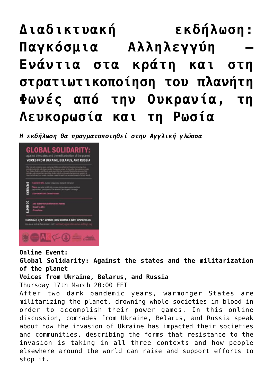## **[Διαδικτυακή εκδήλωση:](https://www.babylonia.gr/2022/03/17/diadiktyaki-ekdilosi-pagkosmia-allilengyi-enantia-sta-krati-kai-sti-stratiotikopoiisi-tou-planiti-fones-apo-tin-oukrania-ti-lefkorosia-kai-ti-rosia/) [Παγκόσμια Αλληλεγγύη –](https://www.babylonia.gr/2022/03/17/diadiktyaki-ekdilosi-pagkosmia-allilengyi-enantia-sta-krati-kai-sti-stratiotikopoiisi-tou-planiti-fones-apo-tin-oukrania-ti-lefkorosia-kai-ti-rosia/) [Ενάντια στα κράτη και στη](https://www.babylonia.gr/2022/03/17/diadiktyaki-ekdilosi-pagkosmia-allilengyi-enantia-sta-krati-kai-sti-stratiotikopoiisi-tou-planiti-fones-apo-tin-oukrania-ti-lefkorosia-kai-ti-rosia/) [στρατιωτικοποίηση του πλανήτη](https://www.babylonia.gr/2022/03/17/diadiktyaki-ekdilosi-pagkosmia-allilengyi-enantia-sta-krati-kai-sti-stratiotikopoiisi-tou-planiti-fones-apo-tin-oukrania-ti-lefkorosia-kai-ti-rosia/) [Φωνές από την Ουκρανία, τη](https://www.babylonia.gr/2022/03/17/diadiktyaki-ekdilosi-pagkosmia-allilengyi-enantia-sta-krati-kai-sti-stratiotikopoiisi-tou-planiti-fones-apo-tin-oukrania-ti-lefkorosia-kai-ti-rosia/) [Λευκορωσία και τη Ρωσία](https://www.babylonia.gr/2022/03/17/diadiktyaki-ekdilosi-pagkosmia-allilengyi-enantia-sta-krati-kai-sti-stratiotikopoiisi-tou-planiti-fones-apo-tin-oukrania-ti-lefkorosia-kai-ti-rosia/)**

*Η εκδήλωση θα πραγματοποιηθεί στην Αγγλική γλώσσα* 



**Online Event:**

**Global Solidarity: Against the states and the militarization of the planet**

## **Voices from Ukraine, Belarus, and Russia**

Thursday 17th March 20:00 EET

After two dark pandemic years, warmonger States are militarizing the planet, drowning whole societies in blood in order to accomplish their power games. In this online discussion, comrades from Ukraine, Belarus, and Russia speak about how the invasion of Ukraine has impacted their societies and communities, describing the forms that resistance to the invasion is taking in all three contexts and how people elsewhere around the world can raise and support efforts to stop it.